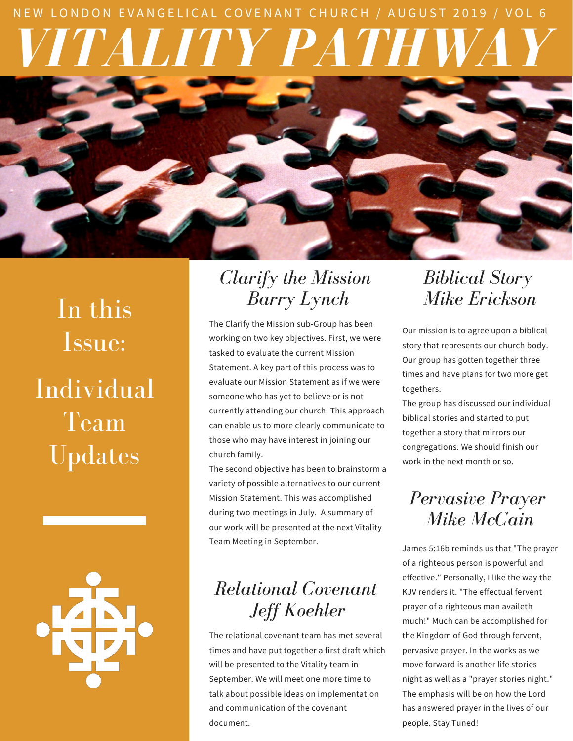# *VITALITY PATHWAY* NEW LONDON EVANGELICAL COVENANT CHURCH / AUGUST 2019 / VOL 6



In this Issue: Individual Team Updates

#### *Clarify the Mission Barry Lynch*

The Clarify the Mission sub-Group has been working on two key objectives. First, we were tasked to evaluate the current Mission Statement. A key part of this process was to evaluate our Mission Statement as if we were someone who has yet to believe or is not currently attending our church. This approach can enable us to more clearly communicate to those who may have interest in joining our church family.

The second objective has been to brainstorm a variety of possible alternatives to our current Mission Statement. This was accomplished during two meetings in July. A summary of our work will be presented at the next Vitality Team Meeting in September.

## *Relational Covenant Jeff Koehler*

The relational covenant team has met several times and have put together a first draft which will be presented to the Vitality team in September. We will meet one more time to talk about possible ideas on implementation and communication of the covenant document.

#### *Biblical Story Mike Erickson*

Our mission is to agree upon a biblical story that represents our church body. Our group has gotten together three times and have plans for two more get togethers.

The group has discussed our individual biblical stories and started to put together a story that mirrors our congregations. We should finish our work in the next month or so.

### *Pervasive Prayer Mike McCain*

James 5:16b reminds us that "The prayer of a righteous person is powerful and effective." Personally, I like the way the KJV renders it. "The effectual fervent prayer of a righteous man availeth much!" Much can be accomplished for the Kingdom of God through fervent, pervasive prayer. In the works as we move forward is another life stories night as well as a "prayer stories night." The emphasis will be on how the Lord has answered prayer in the lives of our people. Stay Tuned!